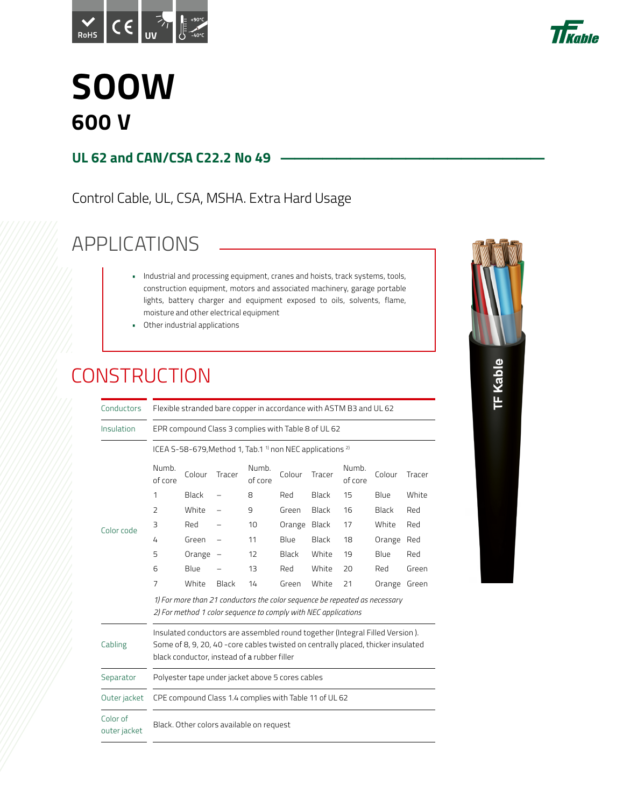



### **SOOW 600 V**

#### **UL 62 and CAN/CSA C22.2 No 49**

Control Cable, UL, CSA, MSHA. Extra Hard Usage

#### APPLICATIONS

- Industrial and processing equipment, cranes and hoists, track systems, tools, construction equipment, motors and associated machinery, garage portable lights, battery charger and equipment exposed to oils, solvents, flame, moisture and other electrical equipment
- Other industrial applications

#### **CONSTRUCTION**

| Conductors               |                                                                                                                                              | Flexible stranded bare copper in accordance with ASTM B3 and UL 62                                                                                                                                              |                          |                  |              |        |                  |              |        |  |  |  |  |
|--------------------------|----------------------------------------------------------------------------------------------------------------------------------------------|-----------------------------------------------------------------------------------------------------------------------------------------------------------------------------------------------------------------|--------------------------|------------------|--------------|--------|------------------|--------------|--------|--|--|--|--|
| Insulation               |                                                                                                                                              | EPR compound Class 3 complies with Table 8 of UL 62                                                                                                                                                             |                          |                  |              |        |                  |              |        |  |  |  |  |
|                          | ICEA S-58-679, Method 1, Tab.1 <sup>1</sup> non NEC applications <sup>2)</sup>                                                               |                                                                                                                                                                                                                 |                          |                  |              |        |                  |              |        |  |  |  |  |
| Color code               | Numb.<br>Colour<br>of core                                                                                                                   |                                                                                                                                                                                                                 | Tracer                   | Numb.<br>of core | Colour       | Tracer | Numb.<br>of core | Colour       | Tracer |  |  |  |  |
|                          | 1                                                                                                                                            | <b>Black</b>                                                                                                                                                                                                    |                          | 8                | Red          | Black  | 15               | Blue         | White  |  |  |  |  |
|                          | $\overline{2}$                                                                                                                               | White                                                                                                                                                                                                           |                          | 9                | Green        | Black  | 16               | Black        | Red    |  |  |  |  |
|                          | 3                                                                                                                                            | Red                                                                                                                                                                                                             |                          | 10               | Orange Black |        | 17               | White        | Red    |  |  |  |  |
|                          | 4                                                                                                                                            | Green                                                                                                                                                                                                           |                          | 11               | Blue         | Black  | 18               | Orange Red   |        |  |  |  |  |
|                          | 5                                                                                                                                            | Orange                                                                                                                                                                                                          | $\overline{\phantom{m}}$ | 12               | Black        | White  | 19               | Blue         | Red    |  |  |  |  |
|                          | 6                                                                                                                                            | Blue                                                                                                                                                                                                            |                          | 13               | Red          | White  | 20               | Red          | Green  |  |  |  |  |
|                          | 7                                                                                                                                            | White                                                                                                                                                                                                           | Black                    | 14               | Green        | White  | 21               | Orange Green |        |  |  |  |  |
|                          | 1) For more than 21 conductors the color sequence be repeated as necessary<br>2) For method 1 color sequence to comply with NEC applications |                                                                                                                                                                                                                 |                          |                  |              |        |                  |              |        |  |  |  |  |
| Cabling                  |                                                                                                                                              | Insulated conductors are assembled round together (Integral Filled Version).<br>Some of 8, 9, 20, 40 -core cables twisted on centrally placed, thicker insulated<br>black conductor, instead of a rubber filler |                          |                  |              |        |                  |              |        |  |  |  |  |
| Separator                |                                                                                                                                              | Polyester tape under jacket above 5 cores cables                                                                                                                                                                |                          |                  |              |        |                  |              |        |  |  |  |  |
| Outer jacket             |                                                                                                                                              | CPE compound Class 1.4 complies with Table 11 of UL 62                                                                                                                                                          |                          |                  |              |        |                  |              |        |  |  |  |  |
| Color of<br>outer jacket |                                                                                                                                              | Black. Other colors available on request                                                                                                                                                                        |                          |                  |              |        |                  |              |        |  |  |  |  |
|                          |                                                                                                                                              |                                                                                                                                                                                                                 |                          |                  |              |        |                  |              |        |  |  |  |  |

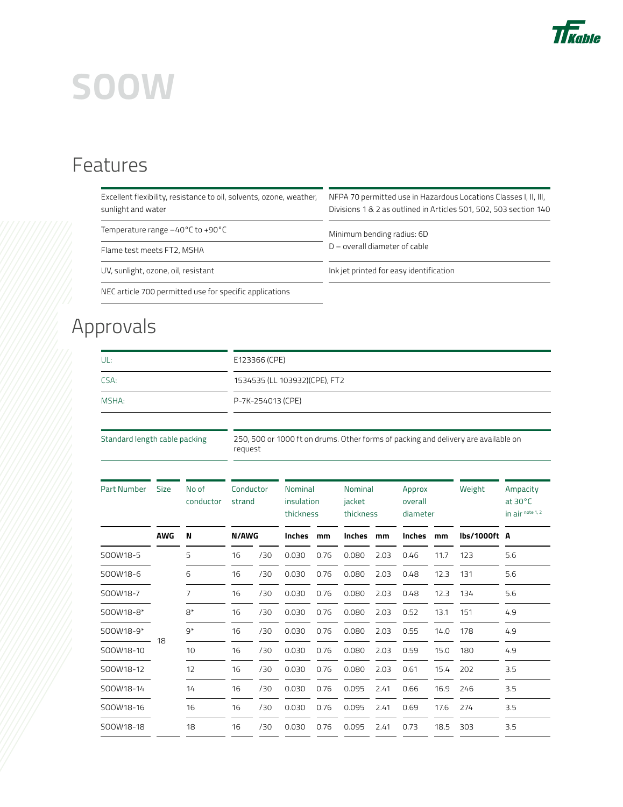

#### Features

| Excellent flexibility, resistance to oil, solvents, ozone, weather,<br>sunlight and water | NFPA 70 permitted use in Hazardous Locations Classes I, II, III,<br>Divisions 1 & 2 as outlined in Articles 501, 502, 503 section 140 |
|-------------------------------------------------------------------------------------------|---------------------------------------------------------------------------------------------------------------------------------------|
| Temperature range -40°C to +90°C                                                          | Minimum bending radius: 6D                                                                                                            |
| Flame test meets FT2, MSHA                                                                | D - overall diameter of cable                                                                                                         |
| UV, sunlight, ozone, oil, resistant                                                       | Ink jet printed for easy identification                                                                                               |
| NEC article 700 permitted use for specific applications                                   |                                                                                                                                       |

### Approvals

| UL:                           |            |                    | E123366 (CPE)                  |     |                                    |      |                                       |      |                               |      |              |                                                                                    |  |  |  |
|-------------------------------|------------|--------------------|--------------------------------|-----|------------------------------------|------|---------------------------------------|------|-------------------------------|------|--------------|------------------------------------------------------------------------------------|--|--|--|
| CSA:                          |            |                    | 1534535 (LL 103932) (CPE), FT2 |     |                                    |      |                                       |      |                               |      |              |                                                                                    |  |  |  |
| MSHA:                         |            |                    | P-7K-254013 (CPE)              |     |                                    |      |                                       |      |                               |      |              |                                                                                    |  |  |  |
|                               |            |                    |                                |     |                                    |      |                                       |      |                               |      |              |                                                                                    |  |  |  |
| Standard length cable packing |            |                    | request                        |     |                                    |      |                                       |      |                               |      |              | 250, 500 or 1000 ft on drums. Other forms of packing and delivery are available on |  |  |  |
| Part Number                   | Size       | No of<br>conductor | Conductor<br>strand            |     | Nominal<br>insulation<br>thickness |      | <b>Nominal</b><br>jacket<br>thickness |      | Approx<br>overall<br>diameter |      | Weight       | Ampacity<br>at $30^{\circ}$ C<br>in air note 1, 2                                  |  |  |  |
|                               | <b>AWG</b> | N                  | <b>N/AWG</b>                   |     | <b>Inches</b>                      | mm   | <b>Inches</b>                         | mm   | Inches                        | mm   | lbs/1000ft A |                                                                                    |  |  |  |
| SOOW18-5                      |            | 5                  | 16                             | /30 | 0.030                              | 0.76 | 0.080                                 | 2.03 | 0.46                          | 11.7 | 123          | 5.6                                                                                |  |  |  |
| SOOW18-6                      |            | 6                  | 16                             | /30 | 0.030                              | 0.76 | 0.080                                 | 2.03 | 0.48                          | 12.3 | 131          | 5.6                                                                                |  |  |  |
| SOOW18-7                      |            | 7                  | 16                             | /30 | 0.030                              | 0.76 | 0.080                                 | 2.03 | 0.48                          | 12.3 | 134          | 5.6                                                                                |  |  |  |
| SOOW18-8*                     |            | $8*$               | 16                             | /30 | 0.030                              | 0.76 | 0.080                                 | 2.03 | 0.52                          | 13.1 | 151          | 4.9                                                                                |  |  |  |
| SOOW18-9*                     | 18         | $Q^*$              | 16                             | /30 | 0.030                              | 0.76 | 0.080                                 | 2.03 | 0.55                          | 14.0 | 178          | 4.9                                                                                |  |  |  |
| SOOW18-10                     |            | 10                 | 16                             | /30 | 0.030                              | 0.76 | 0.080                                 | 2.03 | 0.59                          | 15.0 | 180          | 4.9                                                                                |  |  |  |
| SOOW18-12                     |            | 12                 | 16                             | /30 | 0.030                              | 0.76 | 0.080                                 | 2.03 | 0.61                          | 15.4 | 202          | 3.5                                                                                |  |  |  |
| SOOW18-14                     |            | 14                 | 16                             | /30 | 0.030                              | 0.76 | 0.095                                 | 2.41 | 0.66                          | 16.9 | 246          | 3.5                                                                                |  |  |  |
| SOOW18-16                     |            | 16                 | 16                             | /30 | 0.030                              | 0.76 | 0.095                                 | 2.41 | 0.69                          | 17.6 | 274          | 3.5                                                                                |  |  |  |
| S00W18-18                     |            | 18                 | 16                             | /30 | 0.030                              | 0.76 | 0.095                                 | 2.41 | 0.73                          | 18.5 | 303          | 3.5                                                                                |  |  |  |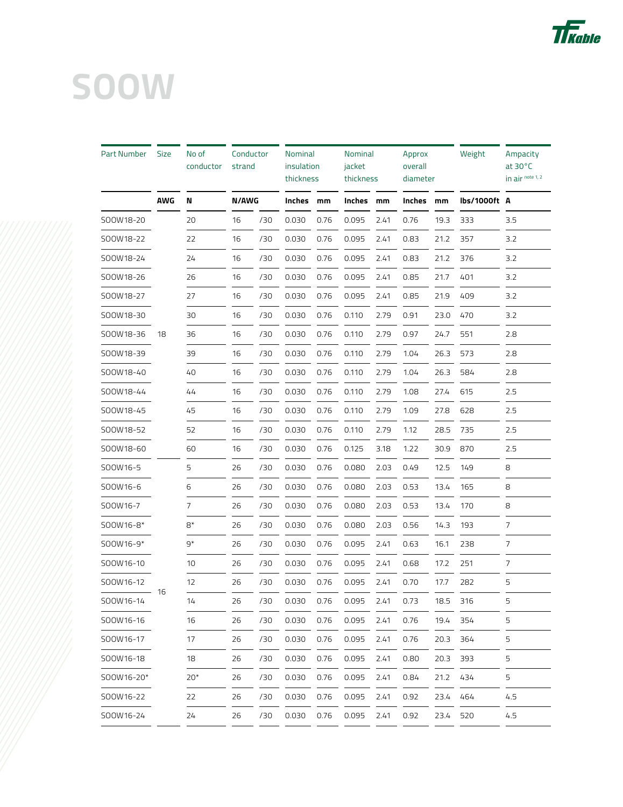

| Part Number | <b>Size</b> | No of<br>conductor | Conductor<br>strand |     | Nominal<br>insulation<br>thickness |      | Nominal<br>jacket<br>thickness |      | Approx<br>overall<br>diameter |      | Weight       | Ampacity<br>at $30^{\circ}$ C<br>in air note 1, 2 |
|-------------|-------------|--------------------|---------------------|-----|------------------------------------|------|--------------------------------|------|-------------------------------|------|--------------|---------------------------------------------------|
|             | <b>AWG</b>  | N                  | <b>N/AWG</b>        |     | Inches mm                          |      | Inches mm                      |      | Inches                        | mm   | lbs/1000ft A |                                                   |
| SOOW18-20   |             | 20                 | 16                  | /30 | 0.030                              | 0.76 | 0.095                          | 2.41 | 0.76                          | 19.3 | 333          | 3.5                                               |
| SOOW18-22   |             | 22                 | 16                  | /30 | 0.030                              | 0.76 | 0.095                          | 2.41 | 0.83                          | 21.2 | 357          | 3.2                                               |
| SOOW18-24   |             | 24                 | 16                  | /30 | 0.030                              | 0.76 | 0.095                          | 2.41 | 0.83                          | 21.2 | 376          | 3.2                                               |
| SOOW18-26   |             | 26                 | 16                  | /30 | 0.030                              | 0.76 | 0.095                          | 2.41 | 0.85                          | 21.7 | 401          | 3.2                                               |
| SOOW18-27   |             | 27                 | 16                  | /30 | 0.030                              | 0.76 | 0.095                          | 2.41 | 0.85                          | 21.9 | 409          | 3.2                                               |
| SOOW18-30   |             | 30                 | 16                  | /30 | 0.030                              | 0.76 | 0.110                          | 2.79 | 0.91                          | 23.0 | 470          | 3.2                                               |
| SOOW18-36   | 18          | 36                 | 16                  | /30 | 0.030                              | 0.76 | 0.110                          | 2.79 | 0.97                          | 24.7 | 551          | 2.8                                               |
| SOOW18-39   |             | 39                 | 16                  | /30 | 0.030                              | 0.76 | 0.110                          | 2.79 | 1.04                          | 26.3 | 573          | 2.8                                               |
| SOOW18-40   |             | 40                 | 16                  | /30 | 0.030                              | 0.76 | 0.110                          | 2.79 | 1.04                          | 26.3 | 584          | 2.8                                               |
| SOOW18-44   |             | 44                 | 16                  | /30 | 0.030                              | 0.76 | 0.110                          | 2.79 | 1.08                          | 27.4 | 615          | 2.5                                               |
| SOOW18-45   |             | 45                 | 16                  | /30 | 0.030                              | 0.76 | 0.110                          | 2.79 | 1.09                          | 27.8 | 628          | 2.5                                               |
| SOOW18-52   |             | 52                 | 16                  | /30 | 0.030                              | 0.76 | 0.110                          | 2.79 | 1.12                          | 28.5 | 735          | 2.5                                               |
| SOOW18-60   |             | 60                 | 16                  | /30 | 0.030                              | 0.76 | 0.125                          | 3.18 | 1.22                          | 30.9 | 870          | 2.5                                               |
| SOOW16-5    |             | 5                  | 26                  | /30 | 0.030                              | 0.76 | 0.080                          | 2.03 | 0.49                          | 12.5 | 149          | 8                                                 |
| SOOW16-6    |             | 6                  | 26                  | /30 | 0.030                              | 0.76 | 0.080                          | 2.03 | 0.53                          | 13.4 | 165          | 8                                                 |
| SOOW16-7    |             | 7                  | 26                  | /30 | 0.030                              | 0.76 | 0.080                          | 2.03 | 0.53                          | 13.4 | 170          | 8                                                 |
| SOOW16-8*   |             | $8*$               | 26                  | /30 | 0.030                              | 0.76 | 0.080                          | 2.03 | 0.56                          | 14.3 | 193          | 7                                                 |
| SOOW16-9*   |             | $9*$               | 26                  | /30 | 0.030                              | 0.76 | 0.095                          | 2.41 | 0.63                          | 16.1 | 238          | 7                                                 |
| SOOW16-10   |             | 10                 | 26                  | /30 | 0.030                              | 0.76 | 0.095                          | 2.41 | 0.68                          | 17.2 | 251          | 7                                                 |
| SOOW16-12   |             | 12                 | 26                  | /30 | 0.030                              | 0.76 | 0.095                          | 2.41 | 0.70                          | 17.7 | 282          | 5                                                 |
| SOOW16-14   |             | 14                 | 26                  | /30 | 0.030                              | 0.76 | 0.095                          | 2.41 | 0.73                          | 18.5 | 316          | ל                                                 |
| SOOW16-16   |             | 16                 | 26                  | /30 | 0.030                              | 0.76 | 0.095                          | 2.41 | 0.76                          | 19.4 | 354          | 5                                                 |
| SOOW16-17   |             | 17                 | 26                  | /30 | 0.030                              | 0.76 | 0.095                          | 2.41 | 0.76                          | 20.3 | 364          | 5                                                 |
| SOOW16-18   |             | 18                 | 26                  | /30 | 0.030                              | 0.76 | 0.095                          | 2.41 | 0.80                          | 20.3 | 393          | 5                                                 |
| SOOW16-20*  |             | $20*$              | 26                  | /30 | 0.030                              | 0.76 | 0.095                          | 2.41 | 0.84                          | 21.2 | 434          | 5                                                 |
| SOOW16-22   |             | 22                 | 26                  | /30 | 0.030                              | 0.76 | 0.095                          | 2.41 | 0.92                          | 23.4 | 464          | 4.5                                               |
| SOOW16-24   |             | 24                 | 26                  | /30 | 0.030                              | 0.76 | 0.095                          | 2.41 | 0.92                          | 23.4 | 520          | 4.5                                               |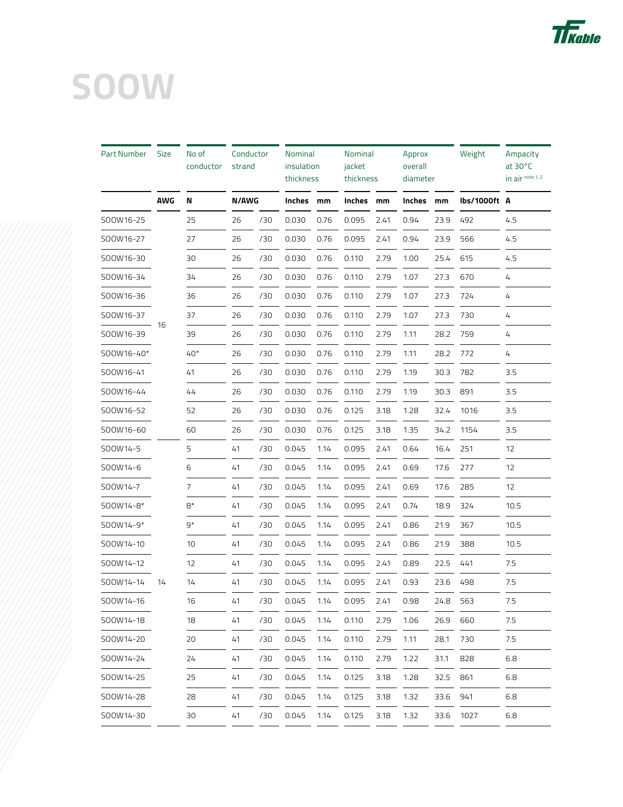

| Part Number | <b>Size</b> | No of<br>conductor | Conductor<br>strand |     | <b>Nominal</b><br>insulation<br>thickness |      | <b>Nominal</b><br>jacket<br>thickness |      | Approx<br>overall<br>diameter |      | Weight       | Ampacity<br>at $30^{\circ}$ C<br>in air note 1, 2 |
|-------------|-------------|--------------------|---------------------|-----|-------------------------------------------|------|---------------------------------------|------|-------------------------------|------|--------------|---------------------------------------------------|
|             | <b>AWG</b>  | N                  | <b>N/AWG</b>        |     | Inches                                    | mm   | Inches mm                             |      | Inches                        | mm   | lbs/1000ft A |                                                   |
| SOOW16-25   |             | 25                 | 26                  | /30 | 0.030                                     | 0.76 | 0.095                                 | 2.41 | 0.94                          | 23.9 | 492          | 4.5                                               |
| SOOW16-27   |             | 27                 | 26                  | /30 | 0.030                                     | 0.76 | 0.095                                 | 2.41 | 0.94                          | 23.9 | 566          | 4.5                                               |
| SOOW16-30   |             | 30                 | 26                  | /30 | 0.030                                     | 0.76 | 0.110                                 | 2.79 | 1.00                          | 25.4 | 615          | 4.5                                               |
| SOOW16-34   |             | 34                 | 26                  | /30 | 0.030                                     | 0.76 | 0.110                                 | 2.79 | 1.07                          | 27.3 | 670          | 4                                                 |
| SOOW16-36   |             | 36                 | 26                  | /30 | 0.030                                     | 0.76 | 0.110                                 | 2.79 | 1.07                          | 27.3 | 724          | 4                                                 |
| SOOW16-37   |             | 37                 | 26                  | /30 | 0.030                                     | 0.76 | 0.110                                 | 2.79 | 1.07                          | 27.3 | 730          | 4                                                 |
| SOOW16-39   | - 16        | 39                 | 26                  | /30 | 0.030                                     | 0.76 | 0.110                                 | 2.79 | 1.11                          | 28.2 | 759          | 4                                                 |
| SOOW16-40*  |             | $40*$              | 26                  | /30 | 0.030                                     | 0.76 | 0.110                                 | 2.79 | 1.11                          | 28.2 | 772          | 4                                                 |
| SOOW16-41   |             | 41                 | 26                  | /30 | 0.030                                     | 0.76 | 0.110                                 | 2.79 | 1.19                          | 30.3 | 782          | 3.5                                               |
| SOOW16-44   |             | 44                 | 26                  | /30 | 0.030                                     | 0.76 | 0.110                                 | 2.79 | 1.19                          | 30.3 | 891          | 3.5                                               |
| SOOW16-52   |             | 52                 | 26                  | /30 | 0.030                                     | 0.76 | 0.125                                 | 3.18 | 1.28                          | 32.4 | 1016         | 3.5                                               |
| SOOW16-60   |             | 60                 | 26                  | /30 | 0.030                                     | 0.76 | 0.125                                 | 3.18 | 1.35                          | 34.2 | 1154         | 3.5                                               |
| SOOW14-5    |             | 5                  | 41                  | /30 | 0.045                                     | 1.14 | 0.095                                 | 2.41 | 0.64                          | 16.4 | 251          | 12                                                |
| SOOW14-6    |             | 6                  | 41                  | /30 | 0.045                                     | 1.14 | 0.095                                 | 2.41 | 0.69                          | 17.6 | 277          | 12                                                |
| SOOW14-7    |             | 7                  | 41                  | /30 | 0.045                                     | 1.14 | 0.095                                 | 2.41 | 0.69                          | 17.6 | 285          | 12                                                |
| SOOW14-8*   |             | $8*$               | 41                  | /30 | 0.045                                     | 1.14 | 0.095                                 | 2.41 | 0.74                          | 18.9 | 324          | 10.5                                              |
| SOOW14-9*   |             | $9*$               | 41                  | /30 | 0.045                                     | 1.14 | 0.095                                 | 2.41 | 0.86                          | 21.9 | 367          | 10.5                                              |
| SOOW14-10   |             | 10                 | 41                  | /30 | 0.045                                     | 1.14 | 0.095                                 | 2.41 | 0.86                          | 21.9 | 388          | 10.5                                              |
| SOOW14-12   |             | 12                 | 41                  | /30 | 0.045                                     | 1.14 | 0.095                                 | 2.41 | 0.89                          | 22.5 | 441          | 7.5                                               |
| SOOW14-14   | 14          | 14                 | 41                  | /30 | 0.045                                     | 1.14 | 0.095                                 | 2.41 | 0.93                          | 23.6 | 498          | 7.5                                               |
| SOOW14-16   |             | 16                 | 41                  | /30 | 0.045                                     | 1.14 | 0.095                                 | 2.41 | 0.98                          | 24.8 | 563          | 7.5                                               |
| SOOW14-18   |             | 18                 | 41                  | /30 | 0.045                                     | 1.14 | 0.110                                 | 2.79 | 1.06                          | 26.9 | 660          | 7.5                                               |
| SOOW14-20   |             | 20                 | 41                  | /30 | 0.045                                     | 1.14 | 0.110                                 | 2.79 | 1.11                          | 28.1 | 730          | 7.5                                               |
| SOOW14-24   |             | 24                 | 41                  | /30 | 0.045                                     | 1.14 | 0.110                                 | 2.79 | 1.22                          | 31.1 | 828          | 6.8                                               |
| SOOW14-25   |             | 25                 | 41                  | /30 | 0.045                                     | 1.14 | 0.125                                 | 3.18 | 1.28                          | 32.5 | 861          | 6.8                                               |
| SOOW14-28   |             | 28                 | 41                  | /30 | 0.045                                     | 1.14 | 0.125                                 | 3.18 | 1.32                          | 33.6 | 941          | 6.8                                               |
| SOOW14-30   |             | 30                 | 41                  | /30 | 0.045                                     | 1.14 | 0.125                                 | 3.18 | 1.32                          | 33.6 | 1027         | 6.8                                               |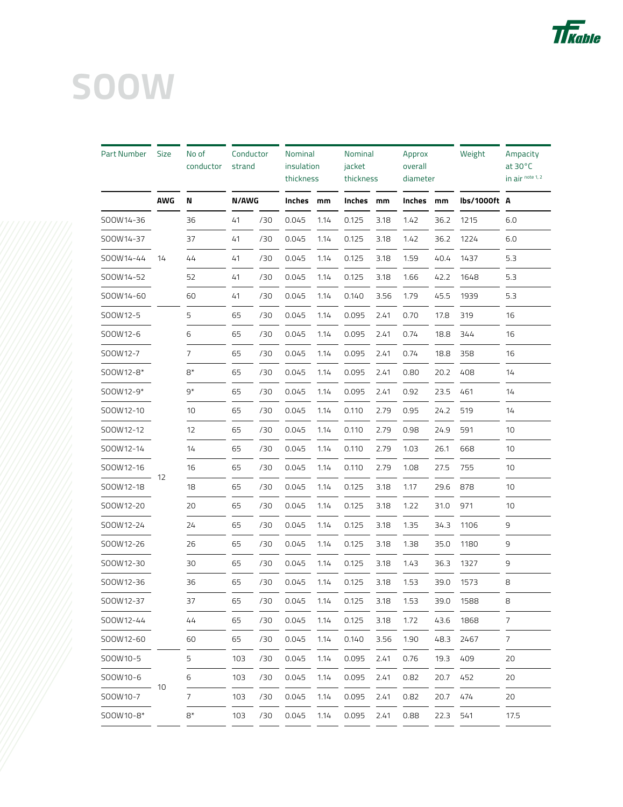

| Part Number | <b>Size</b> | No of<br>conductor | Conductor<br>strand |     | Nominal<br>insulation<br>thickness |      | Nominal<br>jacket<br>thickness |      | Approx<br>overall<br>diameter |      | Weight       | Ampacity<br>at $30^{\circ}$ C<br>in air note 1, 2 |
|-------------|-------------|--------------------|---------------------|-----|------------------------------------|------|--------------------------------|------|-------------------------------|------|--------------|---------------------------------------------------|
|             | <b>AWG</b>  | N                  | <b>N/AWG</b>        |     | Inches mm                          |      | Inches mm                      |      | Inches                        | mm   | lbs/1000ft A |                                                   |
| SOOW14-36   |             | 36                 | 41                  | /30 | 0.045                              | 1.14 | 0.125                          | 3.18 | 1.42                          | 36.2 | 1215         | 6.0                                               |
| SOOW14-37   |             | 37                 | 41                  | /30 | 0.045                              | 1.14 | 0.125                          | 3.18 | 1.42                          | 36.2 | 1224         | 6.0                                               |
| SOOW14-44   | 14          | 44                 | 41                  | /30 | 0.045                              | 1.14 | 0.125                          | 3.18 | 1.59                          | 40.4 | 1437         | 5.3                                               |
| SOOW14-52   |             | 52                 | 41                  | /30 | 0.045                              | 1.14 | 0.125                          | 3.18 | 1.66                          | 42.2 | 1648         | 5.3                                               |
| SOOW14-60   |             | 60                 | 41                  | /30 | 0.045                              | 1.14 | 0.140                          | 3.56 | 1.79                          | 45.5 | 1939         | 5.3                                               |
| SOOW12-5    |             | 5                  | 65                  | /30 | 0.045                              | 1.14 | 0.095                          | 2.41 | 0.70                          | 17.8 | 319          | 16                                                |
| SOOW12-6    |             | 6                  | 65                  | /30 | 0.045                              | 1.14 | 0.095                          | 2.41 | 0.74                          | 18.8 | 344          | 16                                                |
| SOOW12-7    |             | 7                  | 65                  | /30 | 0.045                              | 1.14 | 0.095                          | 2.41 | 0.74                          | 18.8 | 358          | 16                                                |
| SOOW12-8*   |             | $8*$               | 65                  | /30 | 0.045                              | 1.14 | 0.095                          | 2.41 | 0.80                          | 20.2 | 408          | 14                                                |
| SOOW12-9*   |             | $9*$               | 65                  | /30 | 0.045                              | 1.14 | 0.095                          | 2.41 | 0.92                          | 23.5 | 461          | 14                                                |
| SOOW12-10   |             | 10                 | 65                  | /30 | 0.045                              | 1.14 | 0.110                          | 2.79 | 0.95                          | 24.2 | 519          | 14                                                |
| SOOW12-12   |             | 12                 | 65                  | /30 | 0.045                              | 1.14 | 0.110                          | 2.79 | 0.98                          | 24.9 | 591          | 10                                                |
| SOOW12-14   |             | 14                 | 65                  | /30 | 0.045                              | 1.14 | 0.110                          | 2.79 | 1.03                          | 26.1 | 668          | 10                                                |
| SOOW12-16   |             | 16                 | 65                  | /30 | 0.045                              | 1.14 | 0.110                          | 2.79 | 1.08                          | 27.5 | 755          | 10                                                |
| SOOW12-18   | - 12        | 18                 | 65                  | /30 | 0.045                              | 1.14 | 0.125                          | 3.18 | 1.17                          | 29.6 | 878          | 10                                                |
| SOOW12-20   |             | 20                 | 65                  | /30 | 0.045                              | 1.14 | 0.125                          | 3.18 | 1.22                          | 31.0 | 971          | 10                                                |
| SOOW12-24   |             | 24                 | 65                  | /30 | 0.045                              | 1.14 | 0.125                          | 3.18 | 1.35                          | 34.3 | 1106         | 9                                                 |
| SOOW12-26   |             | 26                 | 65                  | /30 | 0.045                              | 1.14 | 0.125                          | 3.18 | 1.38                          | 35.0 | 1180         | 9                                                 |
| SOOW12-30   |             | 30                 | 65                  | /30 | 0.045                              | 1.14 | 0.125                          | 3.18 | 1.43                          | 36.3 | 1327         | 9                                                 |
| SOOW12-36   |             | 36                 | 65                  | /30 | 0.045                              | 1.14 | 0.125                          | 3.18 | 1.53                          | 39.0 | 1573         | 8                                                 |
| SOOW12-37   |             | 37                 | 65                  | /30 | 0.045                              | 1.14 | 0.125                          | 3.18 | 1.53                          | 39.0 | 1588         | 8                                                 |
| SOOW12-44   |             | 44                 | 65                  | /30 | 0.045                              | 1.14 | 0.125                          | 3.18 | 1.72                          | 43.6 | 1868         | 7                                                 |
| SOOW12-60   |             | 60                 | 65                  | /30 | 0.045                              | 1.14 | 0.140                          | 3.56 | 1.90                          | 48.3 | 2467         | 7                                                 |
| SOOW10-5    |             | 5                  | 103                 | /30 | 0.045                              | 1.14 | 0.095                          | 2.41 | 0.76                          | 19.3 | 409          | 20                                                |
| SOOW10-6    |             | 6                  | 103                 | /30 | 0.045                              | 1.14 | 0.095                          | 2.41 | 0.82                          | 20.7 | 452          | 20                                                |
| SOOW10-7    | - 10        | 7                  | 103                 | /30 | 0.045                              | 1.14 | 0.095                          | 2.41 | 0.82                          | 20.7 | 474          | 20                                                |
| SOOW10-8*   |             | $8*$               | 103                 | /30 | 0.045                              | 1.14 | 0.095                          | 2.41 | 0.88                          | 22.3 | 541          | 17.5                                              |